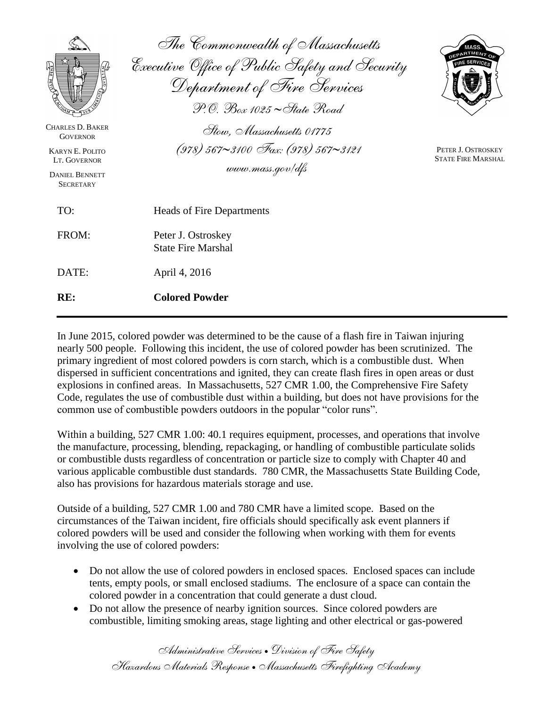|                                                                                                                                   | The Commonwealth of Massachusetts<br>Executive Office of Public Safety and Security<br>Department of Fire Services<br>$\mathcal{P}$ . $\oslash$ $\mathcal{B}_{ox}$ 1025 $\sim$ State $\mathcal{R}_{oad}$ | AASS                                            |
|-----------------------------------------------------------------------------------------------------------------------------------|----------------------------------------------------------------------------------------------------------------------------------------------------------------------------------------------------------|-------------------------------------------------|
| <b>CHARLES D. BAKER</b><br><b>GOVERNOR</b><br><b>KARYN E. POLITO</b><br>LT. GOVERNOR<br><b>DANIEL BENNETT</b><br><b>SECRETARY</b> | Stow. Massachusetts 01775<br>$(978)$ 567~3100 Fax: (978) 567~3121<br>www.mass.gov/dfs                                                                                                                    | PETER J. OSTROSKEY<br><b>STATE FIRE MARSHAL</b> |
| TO:                                                                                                                               | <b>Heads of Fire Departments</b>                                                                                                                                                                         |                                                 |
| FROM:                                                                                                                             | Peter J. Ostroskey<br><b>State Fire Marshal</b>                                                                                                                                                          |                                                 |
| DATE:                                                                                                                             | April 4, 2016                                                                                                                                                                                            |                                                 |
| RE:                                                                                                                               | <b>Colored Powder</b>                                                                                                                                                                                    |                                                 |

In June 2015, colored powder was determined to be the cause of a flash fire in Taiwan injuring nearly 500 people. Following this incident, the use of colored powder has been scrutinized. The primary ingredient of most colored powders is corn starch, which is a combustible dust. When dispersed in sufficient concentrations and ignited, they can create flash fires in open areas or dust explosions in confined areas. In Massachusetts, 527 CMR 1.00, the Comprehensive Fire Safety Code, regulates the use of combustible dust within a building, but does not have provisions for the common use of combustible powders outdoors in the popular "color runs".

Within a building, 527 CMR 1.00: 40.1 requires equipment, processes, and operations that involve the manufacture, processing, blending, repackaging, or handling of combustible particulate solids or combustible dusts regardless of concentration or particle size to comply with Chapter 40 and various applicable combustible dust standards. 780 CMR, the Massachusetts State Building Code, also has provisions for hazardous materials storage and use.

Outside of a building, 527 CMR 1.00 and 780 CMR have a limited scope. Based on the circumstances of the Taiwan incident, fire officials should specifically ask event planners if colored powders will be used and consider the following when working with them for events involving the use of colored powders:

- Do not allow the use of colored powders in enclosed spaces. Enclosed spaces can include tents, empty pools, or small enclosed stadiums. The enclosure of a space can contain the colored powder in a concentration that could generate a dust cloud.
- Do not allow the presence of nearby ignition sources. Since colored powders are combustible, limiting smoking areas, stage lighting and other electrical or gas-powered

*Administrative Services Division of Fire Safety Hazardous Materials Response Massachusetts Firefighting Academy*